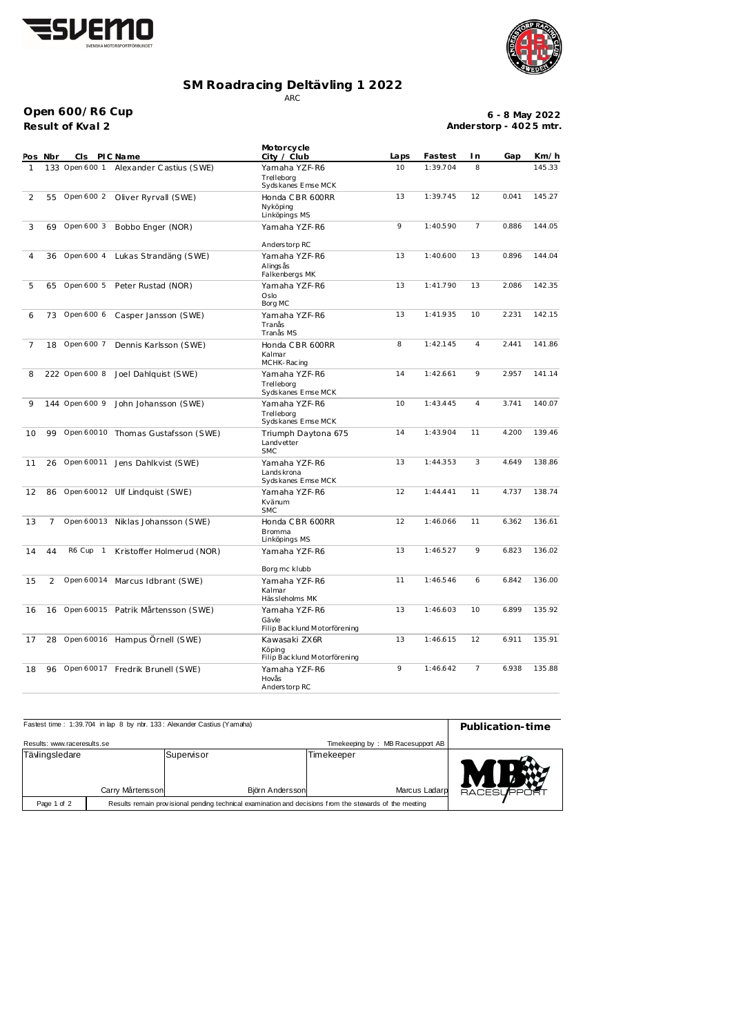



## **SM Roadracing Deltävling 1 2022** ARC

**Result of Kval 2 Open 600/R6 Cup**

**6 - 8 May 2022 Anderstorp - 402 5 mtr.**

|    | Pos Nbr        | CI s           | PIC Name                           | Motorcycle<br>City / Club                                     | Laps | Fastest  | I n            | Gap   | Km/h   |
|----|----------------|----------------|------------------------------------|---------------------------------------------------------------|------|----------|----------------|-------|--------|
| 1  |                | 133 Open 600 1 | Alexander Castius (SWE)            | Yamaha YZF-R6<br>Trelleborg<br>Sydskanes Emse MCK             | 10   | 1:39.704 | 8              |       | 145.33 |
| 2  | 55             | Open 600 2     | Oliver Ryrvall (SWE)               | Honda CBR 600RR<br>Nyköping<br>Linköpings MS                  | 13   | 1:39.745 | 12             | 0.041 | 145.27 |
| 3  | 69             | Open 600 3     | Bobbo Enger (NOR)                  | Yamaha YZF-R6                                                 | 9    | 1:40.590 | 7              | 0.886 | 144.05 |
| 4  | 36             | Open 600 4     | Lukas Strandäng (SWE)              | Anderstorp RC<br>Yamaha YZF-R6<br>Alings ås<br>Falkenbergs MK | 13   | 1:40.600 | 13             | 0.896 | 144.04 |
| 5  | 65             | Open 600 5     | Peter Rustad (NOR)                 | Yamaha YZF-R6<br>Oslo<br>Borg MC                              | 13   | 1:41.790 | 13             | 2.086 | 142.35 |
| 6  | 73             | Open 600 6     | Casper Jansson (SWE)               | Yamaha YZF-R6<br>Tranås<br>Tranås MS                          | 13   | 1:41.935 | 10             | 2.231 | 142.15 |
| 7  | 18             | Open 600 7     | Dennis Karlsson (SWE)              | Honda CBR 600RR<br>Kalmar<br>MCHK-Racing                      | 8    | 1:42.145 | 4              | 2.441 | 141.86 |
| 8  |                | 222 Open 600 8 | Joel Dahlquist (SWE)               | Yamaha YZF-R6<br>Trelleborg<br>Sydskanes Emse MCK             | 14   | 1:42.661 | 9              | 2.957 | 141.14 |
| 9  |                | 144 Open 600 9 | John Johansson (SWE)               | Yamaha YZF-R6<br>Trelleborg<br>Sydskanes Emse MCK             | 10   | 1:43.445 | 4              | 3.741 | 140.07 |
| 10 | 99             | Open 60010     | Thomas Gustafsson (SWE)            | Triumph Daytona 675<br>Landvetter<br><b>SMC</b>               | 14   | 1:43.904 | 11             | 4.200 | 139.46 |
| 11 | 26             | Open 60011     | Jens Dahlkvist (SWE)               | Yamaha YZF-R6<br>Lands krona<br>Sydskanes Emse MCK            | 13   | 1:44.353 | 3              | 4.649 | 138.86 |
| 12 | 86             |                | Open 60012 Ulf Lindquist (SWE)     | Yamaha YZF-R6<br>Kvänum<br><b>SMC</b>                         | 12   | 1:44.441 | 11             | 4.737 | 138.74 |
| 13 | $\overline{7}$ | Open 60013     | Niklas Johansson (SWE)             | Honda CBR 600RR<br><b>Bromma</b><br>Linköpings MS             | 12   | 1:46.066 | 11             | 6.362 | 136.61 |
| 14 | 44             | R6 Cup 1       | Kristoffer Holmerud (NOR)          | Yamaha YZF-R6                                                 | 13   | 1:46.527 | 9              | 6.823 | 136.02 |
| 15 | 2              | Open 60014     | Marcus Idbrant (SWE)               | Borg mc klubb<br>Yamaha YZF-R6<br>Kalmar<br>Hässleholms MK    | 11   | 1:46.546 | 6              | 6.842 | 136.00 |
| 16 | 16             |                | Open 60015 Patrik Mårtensson (SWE) | Yamaha YZF-R6<br>Gävle<br>Filip Backlund Motorförening        | 13   | 1:46.603 | 10             | 6.899 | 135.92 |
| 17 | 28             |                | Open 60016 Hampus Örnell (SWE)     | Kawasaki ZX6R<br>Köping<br>Filip Backlund Motorförening       | 13   | 1:46.615 | 12             | 6.911 | 135.91 |
| 18 | 96             |                | Open 60017 Fredrik Brunell (SWE)   | Yamaha YZF-R6<br>Hovås<br>Anderstorp RC                       | 9    | 1:46.642 | $\overline{7}$ | 6.938 | 135.88 |

| Fastest time: 1:39.704 in lap 8 by nbr. 133: Alexander Castius (Yamaha)                                                | Publication-time |                               |            |               |               |
|------------------------------------------------------------------------------------------------------------------------|------------------|-------------------------------|------------|---------------|---------------|
| Results: www.raceresults.se                                                                                            |                  |                               |            |               |               |
| Tävlingsledare                                                                                                         | Carry Mårtensson | Supervisor<br>Björn Andersson | Timekeeper | Marcus Ladarp | <b>RACESU</b> |
| Results remain provisional pending technical examination and decisions from the stewards of the meeting<br>Page 1 of 2 |                  |                               |            |               |               |